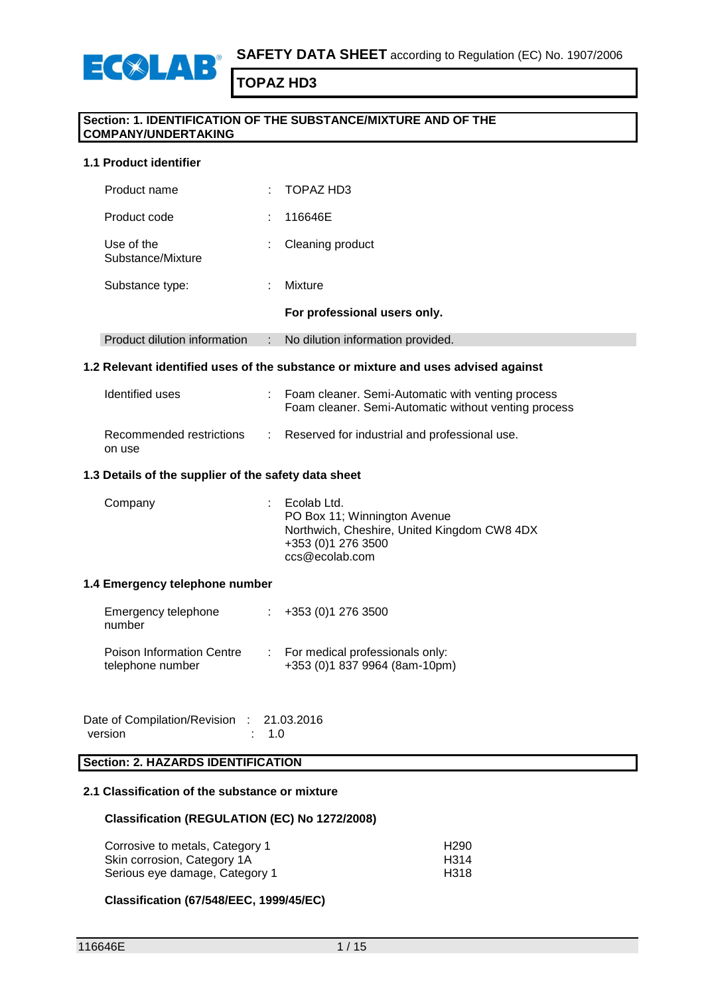

#### **Section: 1. IDENTIFICATION OF THE SUBSTANCE/MIXTURE AND OF THE COMPANY/UNDERTAKING**

#### **1.1 Product identifier**

ECOLAR

| Product name                    |    | TOPAZ HD3                         |
|---------------------------------|----|-----------------------------------|
| Product code                    | ٠  | 116646E                           |
| Use of the<br>Substance/Mixture | ÷. | Cleaning product                  |
| Substance type:                 | ٠  | Mixture                           |
|                                 |    | For professional users only.      |
| Product dilution information    | ÷  | No dilution information provided. |

#### **1.2 Relevant identified uses of the substance or mixture and uses advised against**

| Identified uses                    | Foam cleaner. Semi-Automatic with venting process<br>Foam cleaner. Semi-Automatic without venting process |
|------------------------------------|-----------------------------------------------------------------------------------------------------------|
| Recommended restrictions<br>on use | : Reserved for industrial and professional use.                                                           |

#### **1.3 Details of the supplier of the safety data sheet**

| Company | $\therefore$ Ecolab Ltd.<br>PO Box 11; Winnington Avenue<br>Northwich, Cheshire, United Kingdom CW8 4DX<br>+353 (0) 1 276 3500<br>ccs@ecolab.com |
|---------|--------------------------------------------------------------------------------------------------------------------------------------------------|
|         |                                                                                                                                                  |

#### **1.4 Emergency telephone number**

| Emergency telephone<br>number                 | $\div$ +353 (0)1 276 3500                                          |
|-----------------------------------------------|--------------------------------------------------------------------|
| Poison Information Centre<br>telephone number | : For medical professionals only:<br>+353 (0)1 837 9964 (8am-10pm) |

Date of Compilation/Revision : 21.03.2016 version : 1.0

## **Section: 2. HAZARDS IDENTIFICATION**

### **2.1 Classification of the substance or mixture**

#### **Classification (REGULATION (EC) No 1272/2008)**

| Corrosive to metals, Category 1 | H <sub>290</sub> |
|---------------------------------|------------------|
| Skin corrosion, Category 1A     | H314             |
| Serious eye damage, Category 1  | H318             |

#### **Classification (67/548/EEC, 1999/45/EC)**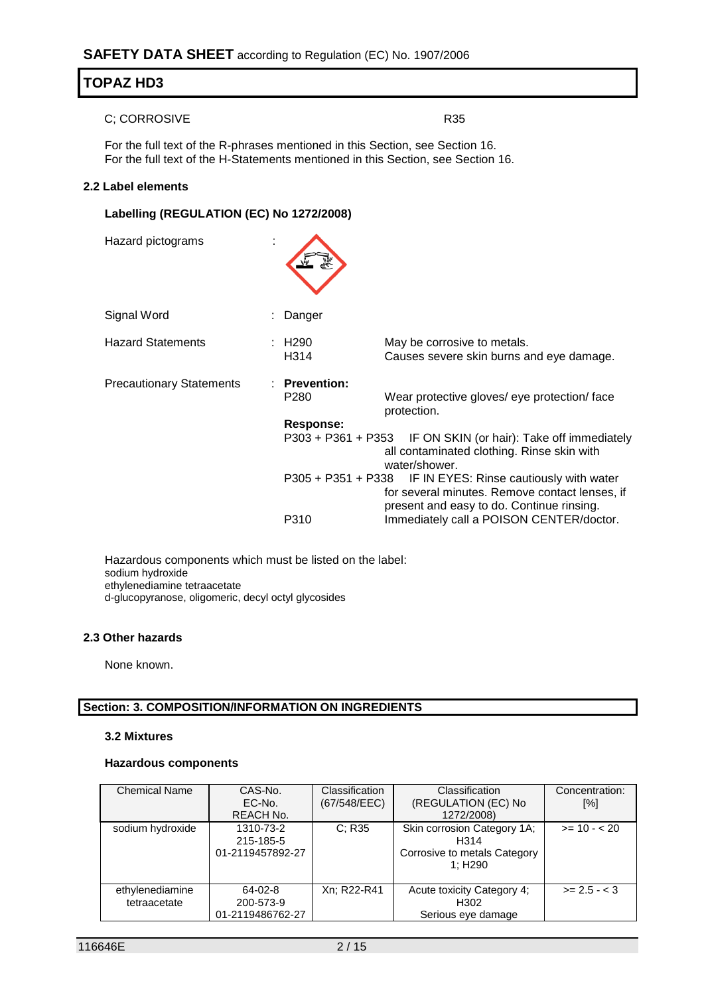#### C; CORROSIVE R35

For the full text of the R-phrases mentioned in this Section, see Section 16. For the full text of the H-Statements mentioned in this Section, see Section 16.

#### **2.2 Label elements**

## **Labelling (REGULATION (EC) No 1272/2008)**

Hazard pictograms :

| Signal Word                     | Danger                                           |                                                                                                                                                           |
|---------------------------------|--------------------------------------------------|-----------------------------------------------------------------------------------------------------------------------------------------------------------|
| <b>Hazard Statements</b>        | : H290<br>H <sub>3</sub> 14                      | May be corrosive to metals.<br>Causes severe skin burns and eye damage.                                                                                   |
| <b>Precautionary Statements</b> | $:$ Prevention:<br>P <sub>280</sub><br>Response: | Wear protective gloves/ eye protection/ face<br>protection.                                                                                               |
|                                 | $P303 + P361 + P353$                             | IF ON SKIN (or hair): Take off immediately<br>all contaminated clothing. Rinse skin with<br>water/shower.                                                 |
|                                 |                                                  | P305 + P351 + P338 IF IN EYES: Rinse cautiously with water<br>for several minutes. Remove contact lenses, if<br>present and easy to do. Continue rinsing. |
|                                 | P310                                             | Immediately call a POISON CENTER/doctor.                                                                                                                  |

Hazardous components which must be listed on the label: sodium hydroxide ethylenediamine tetraacetate d-glucopyranose, oligomeric, decyl octyl glycosides

#### **2.3 Other hazards**

None known.

#### **Section: 3. COMPOSITION/INFORMATION ON INGREDIENTS**

#### **3.2 Mixtures**

#### **Hazardous components**

| <b>Chemical Name</b>            | CAS-No.<br>EC-No.<br><b>REACH No.</b>          | Classification<br>(67/548/EEC) | Classification<br>(REGULATION (EC) No<br>1272/2008)                                         | Concentration:<br>[%] |
|---------------------------------|------------------------------------------------|--------------------------------|---------------------------------------------------------------------------------------------|-----------------------|
| sodium hydroxide                | 1310-73-2<br>215-185-5<br>01-2119457892-27     | C; R35                         | Skin corrosion Category 1A;<br>H <sub>3</sub> 14<br>Corrosive to metals Category<br>1: H290 | $>= 10 - 20$          |
| ethylenediamine<br>tetraacetate | $64 - 02 - 8$<br>200-573-9<br>01-2119486762-27 | Xn: R22-R41                    | Acute toxicity Category 4;<br>H <sub>302</sub><br>Serious eye damage                        | $>= 2.5 - 3$          |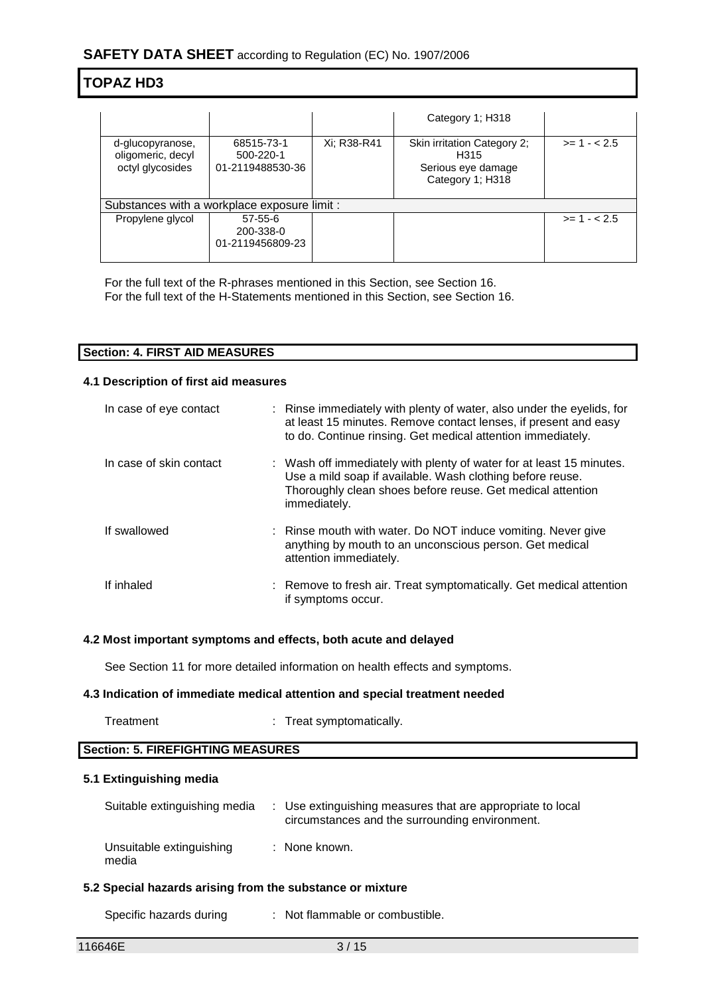|                                                           |                                                |             | Category 1; H318                                                                          |              |  |  |
|-----------------------------------------------------------|------------------------------------------------|-------------|-------------------------------------------------------------------------------------------|--------------|--|--|
| d-glucopyranose,<br>oligomeric, decyl<br>octyl glycosides | 68515-73-1<br>500-220-1<br>01-2119488530-36    | Xi: R38-R41 | Skin irritation Category 2;<br>H <sub>315</sub><br>Serious eye damage<br>Category 1; H318 | $>= 1 - 2.5$ |  |  |
|                                                           | Substances with a workplace exposure limit :   |             |                                                                                           |              |  |  |
| Propylene glycol                                          | $57 - 55 - 6$<br>200-338-0<br>01-2119456809-23 |             |                                                                                           | $>= 1 - 2.5$ |  |  |

For the full text of the R-phrases mentioned in this Section, see Section 16. For the full text of the H-Statements mentioned in this Section, see Section 16.

| <b>Section: 4. FIRST AID MEASURES</b> |  |
|---------------------------------------|--|

#### **4.1 Description of first aid measures**

| In case of eye contact  | : Rinse immediately with plenty of water, also under the eyelids, for<br>at least 15 minutes. Remove contact lenses, if present and easy<br>to do. Continue rinsing. Get medical attention immediately.         |
|-------------------------|-----------------------------------------------------------------------------------------------------------------------------------------------------------------------------------------------------------------|
| In case of skin contact | : Wash off immediately with plenty of water for at least 15 minutes.<br>Use a mild soap if available. Wash clothing before reuse.<br>Thoroughly clean shoes before reuse. Get medical attention<br>immediately. |
| If swallowed            | : Rinse mouth with water. Do NOT induce vomiting. Never give<br>anything by mouth to an unconscious person. Get medical<br>attention immediately.                                                               |
| If inhaled              | : Remove to fresh air. Treat symptomatically. Get medical attention<br>if symptoms occur.                                                                                                                       |

#### **4.2 Most important symptoms and effects, both acute and delayed**

See Section 11 for more detailed information on health effects and symptoms.

#### **4.3 Indication of immediate medical attention and special treatment needed**

Treatment : Treat symptomatically.

#### **Section: 5. FIREFIGHTING MEASURES**

#### **5.1 Extinguishing media**

| Suitable extinguishing media      | : Use extinguishing measures that are appropriate to local<br>circumstances and the surrounding environment. |
|-----------------------------------|--------------------------------------------------------------------------------------------------------------|
| Unsuitable extinguishing<br>media | : None known.                                                                                                |

#### **5.2 Special hazards arising from the substance or mixture**

Specific hazards during : Not flammable or combustible.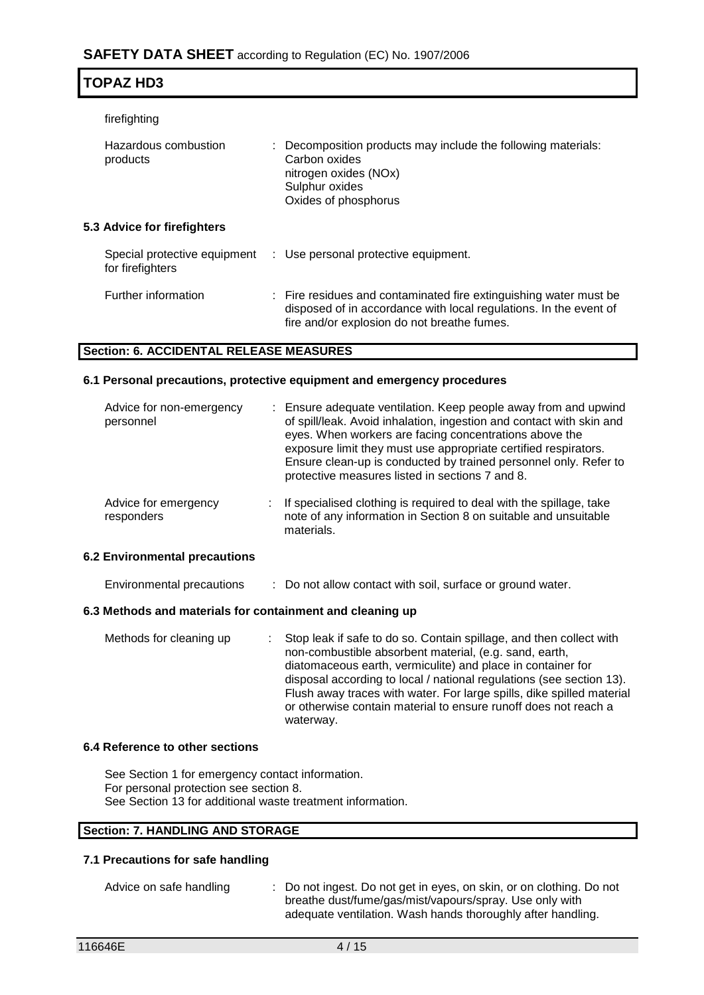| firefighting<br>Hazardous combustion<br>products |  | : Decomposition products may include the following materials:<br>Carbon oxides<br>nitrogen oxides (NOx)<br>Sulphur oxides<br>Oxides of phosphorus                                     |  |  |
|--------------------------------------------------|--|---------------------------------------------------------------------------------------------------------------------------------------------------------------------------------------|--|--|
| 5.3 Advice for firefighters                      |  |                                                                                                                                                                                       |  |  |
| Special protective equipment<br>for firefighters |  | : Use personal protective equipment.                                                                                                                                                  |  |  |
| Further information                              |  | : Fire residues and contaminated fire extinguishing water must be<br>disposed of in accordance with local regulations. In the event of<br>fire and/or explosion do not breathe fumes. |  |  |

#### **Section: 6. ACCIDENTAL RELEASE MEASURES**

#### **6.1 Personal precautions, protective equipment and emergency procedures**

| Advice for non-emergency<br>personnel | : Ensure adequate ventilation. Keep people away from and upwind<br>of spill/leak. Avoid inhalation, ingestion and contact with skin and<br>eyes. When workers are facing concentrations above the<br>exposure limit they must use appropriate certified respirators.<br>Ensure clean-up is conducted by trained personnel only. Refer to<br>protective measures listed in sections 7 and 8. |
|---------------------------------------|---------------------------------------------------------------------------------------------------------------------------------------------------------------------------------------------------------------------------------------------------------------------------------------------------------------------------------------------------------------------------------------------|
| Advice for emergency<br>responders    | If specialised clothing is required to deal with the spillage, take<br>note of any information in Section 8 on suitable and unsuitable<br>materials.                                                                                                                                                                                                                                        |
| <b>Environmental precautions</b>      |                                                                                                                                                                                                                                                                                                                                                                                             |

### **6.2 Environmental precautions**

**TOPAZ HD3**

Environmental precautions : Do not allow contact with soil, surface or ground water.

#### **6.3 Methods and materials for containment and cleaning up**

| Methods for cleaning up | : Stop leak if safe to do so. Contain spillage, and then collect with<br>non-combustible absorbent material, (e.g. sand, earth,<br>diatomaceous earth, vermiculite) and place in container for<br>disposal according to local / national regulations (see section 13). |
|-------------------------|------------------------------------------------------------------------------------------------------------------------------------------------------------------------------------------------------------------------------------------------------------------------|
|                         | Flush away traces with water. For large spills, dike spilled material<br>or otherwise contain material to ensure runoff does not reach a<br>waterway.                                                                                                                  |

#### **6.4 Reference to other sections**

See Section 1 for emergency contact information. For personal protection see section 8. See Section 13 for additional waste treatment information.

#### **Section: 7. HANDLING AND STORAGE**

## **7.1 Precautions for safe handling**

Advice on safe handling : Do not ingest. Do not get in eyes, on skin, or on clothing. Do not breathe dust/fume/gas/mist/vapours/spray. Use only with adequate ventilation. Wash hands thoroughly after handling.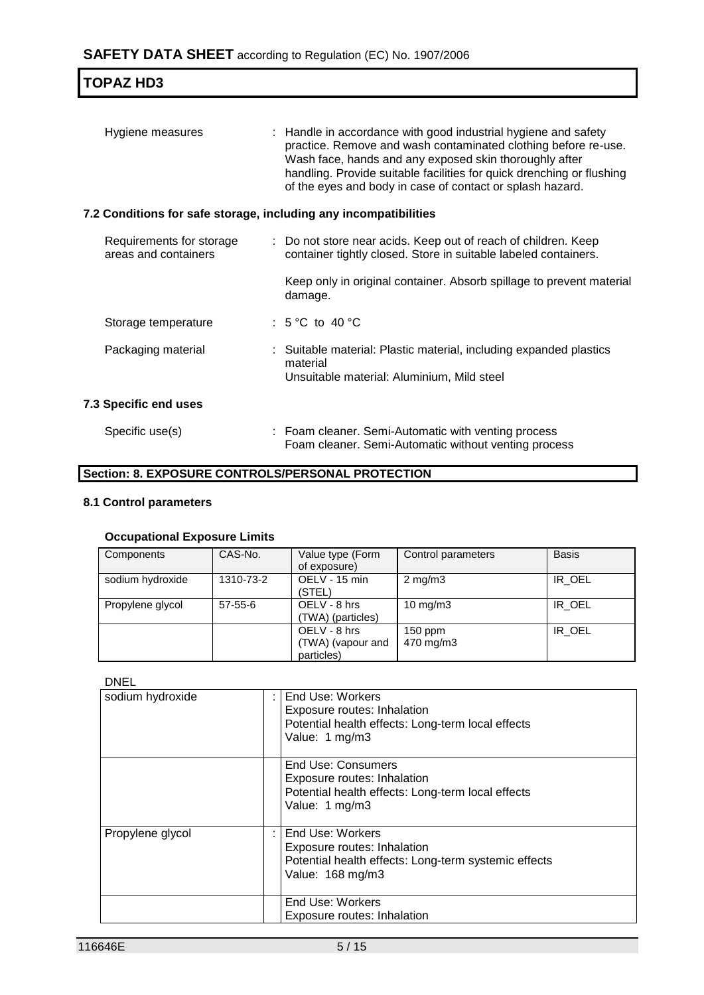| <b>TOPAZ HD3</b>                                                 |                                                                                                                                                                                                                                                                                                                                  |
|------------------------------------------------------------------|----------------------------------------------------------------------------------------------------------------------------------------------------------------------------------------------------------------------------------------------------------------------------------------------------------------------------------|
| Hygiene measures                                                 | : Handle in accordance with good industrial hygiene and safety<br>practice. Remove and wash contaminated clothing before re-use.<br>Wash face, hands and any exposed skin thoroughly after<br>handling. Provide suitable facilities for quick drenching or flushing<br>of the eyes and body in case of contact or splash hazard. |
| 7.2 Conditions for safe storage, including any incompatibilities |                                                                                                                                                                                                                                                                                                                                  |
| Requirements for storage<br>areas and containers                 | : Do not store near acids. Keep out of reach of children. Keep<br>container tightly closed. Store in suitable labeled containers.                                                                                                                                                                                                |
|                                                                  | Keep only in original container. Absorb spillage to prevent material<br>damage.                                                                                                                                                                                                                                                  |
| Storage temperature                                              | : $5^{\circ}$ C to $40^{\circ}$ C                                                                                                                                                                                                                                                                                                |
| Packaging material                                               | : Suitable material: Plastic material, including expanded plastics<br>material<br>Unsuitable material: Aluminium, Mild steel                                                                                                                                                                                                     |
| 7.3 Specific end uses                                            |                                                                                                                                                                                                                                                                                                                                  |
| Specific use(s)                                                  | : Foam cleaner. Semi-Automatic with venting process<br>Foam cleaner. Semi-Automatic without venting process                                                                                                                                                                                                                      |

## **Section: 8. EXPOSURE CONTROLS/PERSONAL PROTECTION**

## **8.1 Control parameters**

### **Occupational Exposure Limits**

| Components       | CAS-No.   | Value type (Form<br>of exposure)                | Control parameters     | <b>Basis</b> |
|------------------|-----------|-------------------------------------------------|------------------------|--------------|
| sodium hydroxide | 1310-73-2 | OELV - 15 min<br>(STEL)                         | $2 \text{ mg/m}$ 3     | IR_OEL       |
| Propylene glycol | 57-55-6   | OELV - 8 hrs<br>(TWA) (particles)               | 10 mg/m $3$            | IR_OEL       |
|                  |           | OELV - 8 hrs<br>(TWA) (vapour and<br>particles) | $150$ ppm<br>470 mg/m3 | IR OEL       |

#### DNEL

| sodium hydroxide |   | End Use: Workers<br>Exposure routes: Inhalation<br>Potential health effects: Long-term local effects<br>Value: 1 mg/m3      |
|------------------|---|-----------------------------------------------------------------------------------------------------------------------------|
|                  |   | End Use: Consumers<br>Exposure routes: Inhalation<br>Potential health effects: Long-term local effects<br>Value: 1 mg/m3    |
| Propylene glycol | ÷ | End Use: Workers<br>Exposure routes: Inhalation<br>Potential health effects: Long-term systemic effects<br>Value: 168 mg/m3 |
|                  |   | End Use: Workers<br>Exposure routes: Inhalation                                                                             |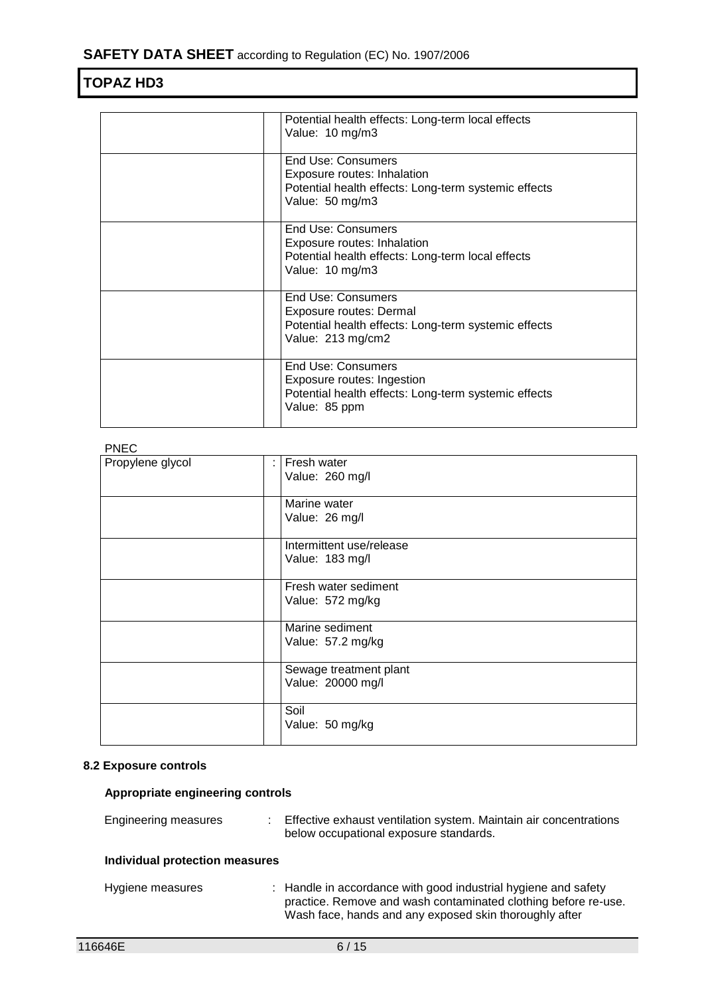| Potential health effects: Long-term local effects<br>Value: 10 mg/m3                                                              |
|-----------------------------------------------------------------------------------------------------------------------------------|
| End Use: Consumers<br>Exposure routes: Inhalation<br>Potential health effects: Long-term systemic effects<br>Value: 50 mg/m3      |
| End Use: Consumers<br>Exposure routes: Inhalation<br>Potential health effects: Long-term local effects<br>Value: 10 mg/m3         |
| End Use: Consumers<br><b>Exposure routes: Dermal</b><br>Potential health effects: Long-term systemic effects<br>Value: 213 mg/cm2 |
| <b>End Use: Consumers</b><br>Exposure routes: Ingestion<br>Potential health effects: Long-term systemic effects<br>Value: 85 ppm  |

## PNEC

| .                |                                             |
|------------------|---------------------------------------------|
| Propylene glycol | Fresh water<br>Value: 260 mg/l              |
|                  | Marine water<br>Value: 26 mg/l              |
|                  | Intermittent use/release<br>Value: 183 mg/l |
|                  | Fresh water sediment<br>Value: 572 mg/kg    |
|                  | Marine sediment<br>Value: 57.2 mg/kg        |
|                  | Sewage treatment plant<br>Value: 20000 mg/l |
|                  | Soil<br>Value: 50 mg/kg                     |

### **8.2 Exposure controls**

## **Appropriate engineering controls**

| Engineering measures           | t. | Effective exhaust ventilation system. Maintain air concentrations<br>below occupational exposure standards.                                                                                |
|--------------------------------|----|--------------------------------------------------------------------------------------------------------------------------------------------------------------------------------------------|
| Individual protection measures |    |                                                                                                                                                                                            |
| Hygiene measures               |    | : Handle in accordance with good industrial hygiene and safety<br>practice. Remove and wash contaminated clothing before re-use.<br>Wash face, hands and any exposed skin thoroughly after |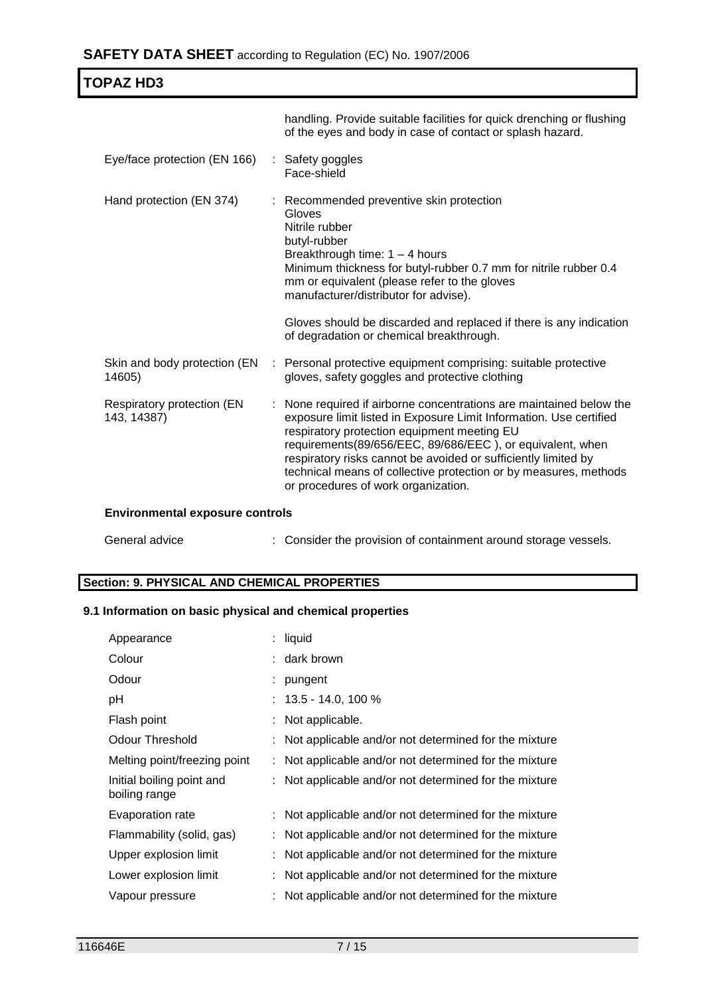| <b>TOPAZ HD3</b>                          |   |                                                                                                                                                                                                                                                                                                                                                                                                                                  |
|-------------------------------------------|---|----------------------------------------------------------------------------------------------------------------------------------------------------------------------------------------------------------------------------------------------------------------------------------------------------------------------------------------------------------------------------------------------------------------------------------|
|                                           |   | handling. Provide suitable facilities for quick drenching or flushing<br>of the eyes and body in case of contact or splash hazard.                                                                                                                                                                                                                                                                                               |
| Eye/face protection (EN 166)              | ÷ | Safety goggles<br>Face-shield                                                                                                                                                                                                                                                                                                                                                                                                    |
| Hand protection (EN 374)                  |   | Recommended preventive skin protection<br>Gloves<br>Nitrile rubber<br>butyl-rubber<br>Breakthrough time: $1 - 4$ hours<br>Minimum thickness for butyl-rubber 0.7 mm for nitrile rubber 0.4<br>mm or equivalent (please refer to the gloves<br>manufacturer/distributor for advise).<br>Gloves should be discarded and replaced if there is any indication<br>of degradation or chemical breakthrough.                            |
| Skin and body protection (EN<br>14605)    |   | : Personal protective equipment comprising: suitable protective<br>gloves, safety goggles and protective clothing                                                                                                                                                                                                                                                                                                                |
| Respiratory protection (EN<br>143, 14387) |   | None required if airborne concentrations are maintained below the<br>exposure limit listed in Exposure Limit Information. Use certified<br>respiratory protection equipment meeting EU<br>requirements(89/656/EEC, 89/686/EEC), or equivalent, when<br>respiratory risks cannot be avoided or sufficiently limited by<br>technical means of collective protection or by measures, methods<br>or procedures of work organization. |

## **Environmental exposure controls**

| General advice | : Consider the provision of containment around storage vessels. |  |
|----------------|-----------------------------------------------------------------|--|
|----------------|-----------------------------------------------------------------|--|

### **Section: 9. PHYSICAL AND CHEMICAL PROPERTIES**

### **9.1 Information on basic physical and chemical properties**

| Appearance                                 | : liquid                                               |
|--------------------------------------------|--------------------------------------------------------|
| Colour                                     | : dark brown                                           |
| Odour                                      | $:$ pungent                                            |
| рH                                         | $: 13.5 - 14.0, 100 \%$                                |
| Flash point                                | : Not applicable.                                      |
| <b>Odour Threshold</b>                     | Not applicable and/or not determined for the mixture   |
| Melting point/freezing point               | : Not applicable and/or not determined for the mixture |
| Initial boiling point and<br>boiling range | Not applicable and/or not determined for the mixture   |
| Evaporation rate                           | : Not applicable and/or not determined for the mixture |
| Flammability (solid, gas)                  | Not applicable and/or not determined for the mixture   |
| Upper explosion limit                      | : Not applicable and/or not determined for the mixture |
| Lower explosion limit                      | Not applicable and/or not determined for the mixture   |
| Vapour pressure                            | Not applicable and/or not determined for the mixture   |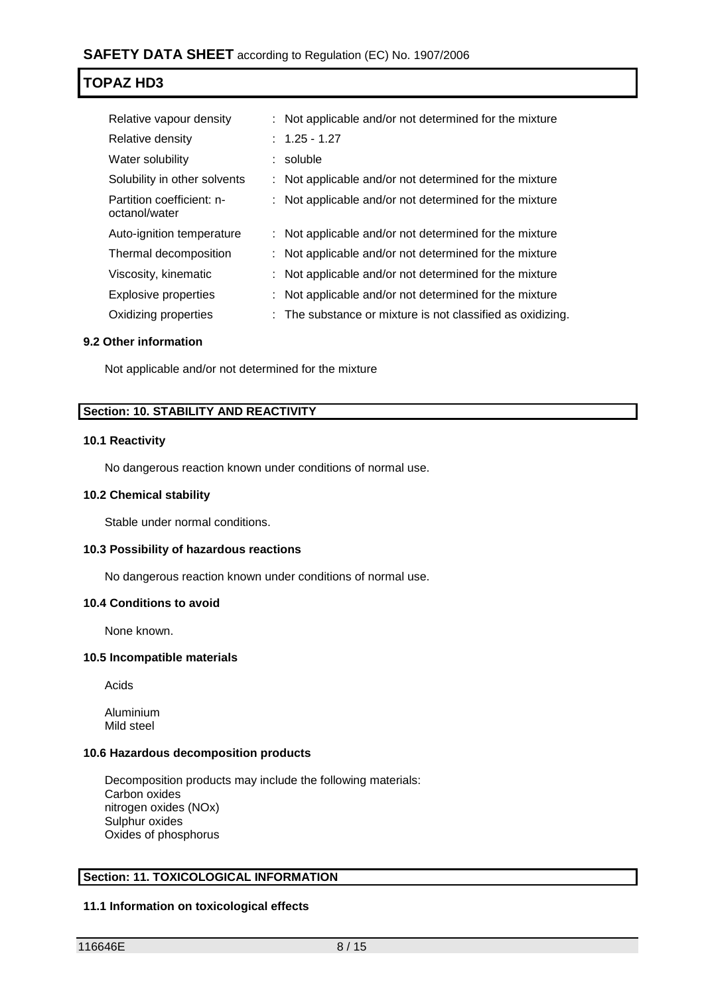| Relative vapour density                    | : Not applicable and/or not determined for the mixture     |
|--------------------------------------------|------------------------------------------------------------|
| Relative density                           | $: 1.25 - 1.27$                                            |
| Water solubility                           | : soluble                                                  |
| Solubility in other solvents               | : Not applicable and/or not determined for the mixture     |
| Partition coefficient: n-<br>octanol/water | : Not applicable and/or not determined for the mixture     |
| Auto-ignition temperature                  | : Not applicable and/or not determined for the mixture     |
| Thermal decomposition                      | : Not applicable and/or not determined for the mixture     |
| Viscosity, kinematic                       | : Not applicable and/or not determined for the mixture     |
| Explosive properties                       | : Not applicable and/or not determined for the mixture     |
| Oxidizing properties                       | : The substance or mixture is not classified as oxidizing. |

#### **9.2 Other information**

Not applicable and/or not determined for the mixture

## **Section: 10. STABILITY AND REACTIVITY**

#### **10.1 Reactivity**

No dangerous reaction known under conditions of normal use.

#### **10.2 Chemical stability**

Stable under normal conditions.

#### **10.3 Possibility of hazardous reactions**

No dangerous reaction known under conditions of normal use.

#### **10.4 Conditions to avoid**

None known.

#### **10.5 Incompatible materials**

Acids

Aluminium Mild steel

#### **10.6 Hazardous decomposition products**

Decomposition products may include the following materials: Carbon oxides nitrogen oxides (NOx) Sulphur oxides Oxides of phosphorus

#### **Section: 11. TOXICOLOGICAL INFORMATION**

#### **11.1 Information on toxicological effects**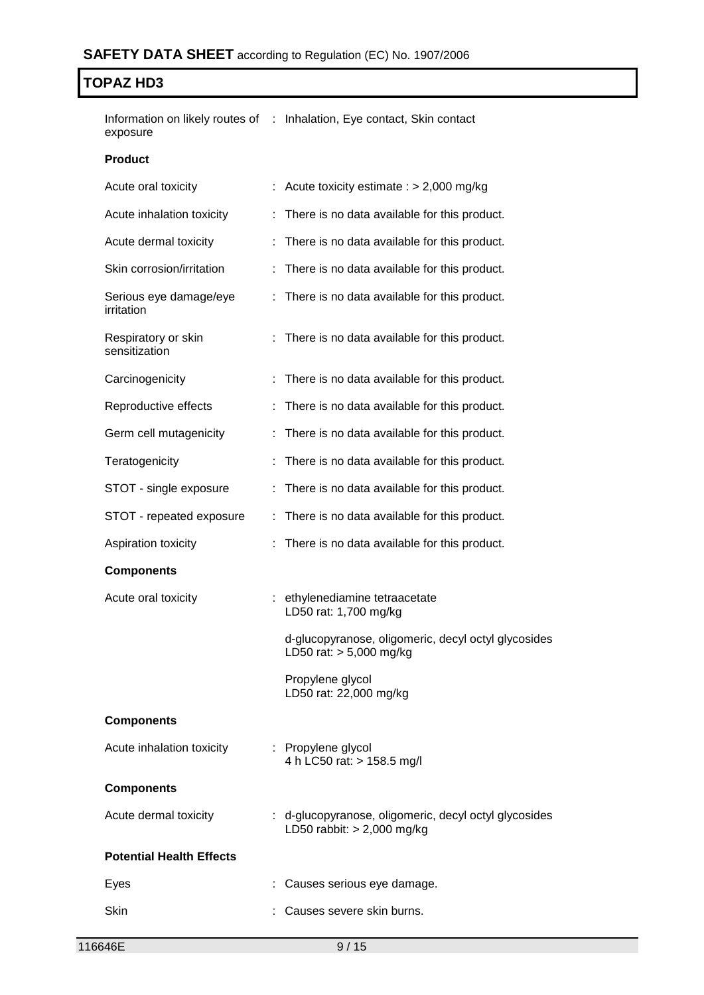Information on likely routes of : Inhalation, Eye contact, Skin contact exposure

#### **Product**

| Acute oral toxicity                  | Acute toxicity estimate : $> 2,000$ mg/kg                                             |  |
|--------------------------------------|---------------------------------------------------------------------------------------|--|
| Acute inhalation toxicity            | There is no data available for this product.                                          |  |
| Acute dermal toxicity                | : There is no data available for this product.                                        |  |
| Skin corrosion/irritation            | There is no data available for this product.                                          |  |
| Serious eye damage/eye<br>irritation | There is no data available for this product.                                          |  |
| Respiratory or skin<br>sensitization | : There is no data available for this product.                                        |  |
| Carcinogenicity                      | There is no data available for this product.                                          |  |
| Reproductive effects                 | There is no data available for this product.                                          |  |
| Germ cell mutagenicity               | There is no data available for this product.                                          |  |
| Teratogenicity                       | There is no data available for this product.                                          |  |
| STOT - single exposure               | There is no data available for this product.<br>t                                     |  |
| STOT - repeated exposure             | There is no data available for this product.<br>÷                                     |  |
| Aspiration toxicity                  | There is no data available for this product.                                          |  |
| <b>Components</b>                    |                                                                                       |  |
| Acute oral toxicity                  | : ethylenediamine tetraacetate<br>LD50 rat: 1,700 mg/kg                               |  |
|                                      | d-glucopyranose, oligomeric, decyl octyl glycosides<br>LD50 rat: $> 5,000$ mg/kg      |  |
|                                      | Propylene glycol<br>LD50 rat: 22,000 mg/kg                                            |  |
| <b>Components</b>                    |                                                                                       |  |
| Acute inhalation toxicity            | : Propylene glycol<br>4 h LC50 rat: > 158.5 mg/l                                      |  |
| <b>Components</b>                    |                                                                                       |  |
| Acute dermal toxicity                | : d-glucopyranose, oligomeric, decyl octyl glycosides<br>LD50 rabbit: $> 2,000$ mg/kg |  |
| <b>Potential Health Effects</b>      |                                                                                       |  |
| Eyes                                 | Causes serious eye damage.                                                            |  |
| Skin                                 | Causes severe skin burns.                                                             |  |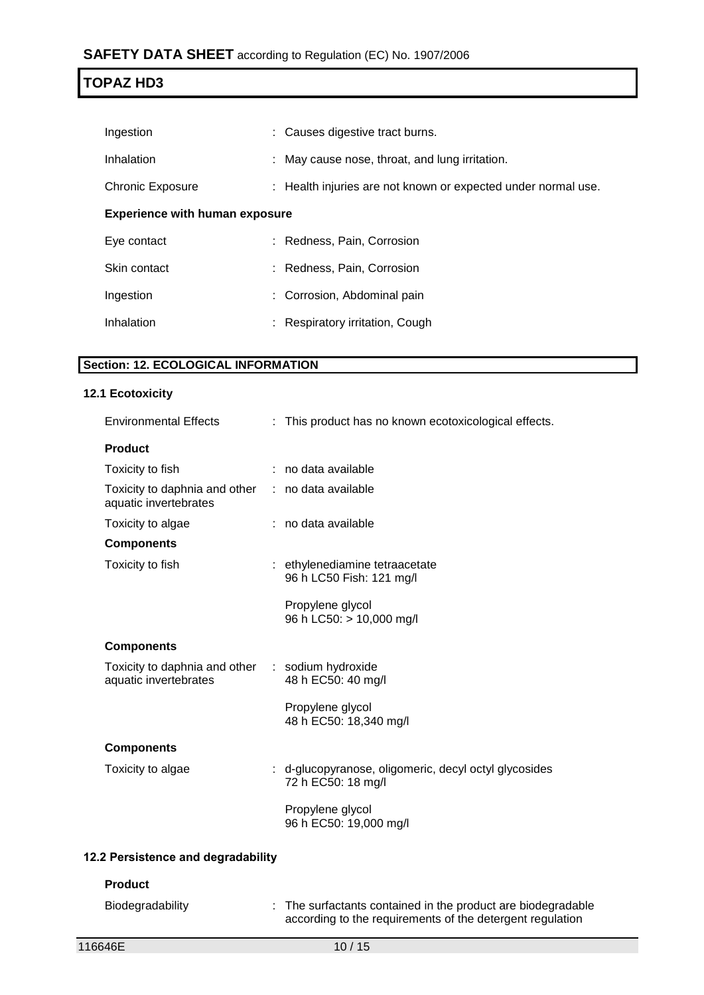| Ingestion                             |  | : Causes digestive tract burns.                               |  |  |
|---------------------------------------|--|---------------------------------------------------------------|--|--|
| Inhalation                            |  | : May cause nose, throat, and lung irritation.                |  |  |
| Chronic Exposure                      |  | : Health injuries are not known or expected under normal use. |  |  |
| <b>Experience with human exposure</b> |  |                                                               |  |  |
| Eye contact                           |  | : Redness, Pain, Corrosion                                    |  |  |
| Skin contact                          |  | : Redness, Pain, Corrosion                                    |  |  |
| Ingestion                             |  | : Corrosion, Abdominal pain                                   |  |  |
| Inhalation                            |  | : Respiratory irritation, Cough                               |  |  |
|                                       |  |                                                               |  |  |

## **Section: 12. ECOLOGICAL INFORMATION**

#### **12.1 Ecotoxicity**

| <b>Environmental Effects</b>                                               | : This product has no known ecotoxicological effects.                       |  |
|----------------------------------------------------------------------------|-----------------------------------------------------------------------------|--|
| <b>Product</b>                                                             |                                                                             |  |
| Toxicity to fish                                                           | : no data available                                                         |  |
| Toxicity to daphnia and other : no data available<br>aquatic invertebrates |                                                                             |  |
| Toxicity to algae                                                          | : no data available                                                         |  |
| <b>Components</b>                                                          |                                                                             |  |
| Toxicity to fish                                                           | : ethylenediamine tetraacetate<br>96 h LC50 Fish: 121 mg/l                  |  |
|                                                                            | Propylene glycol<br>96 h LC50: > 10,000 mg/l                                |  |
| <b>Components</b>                                                          |                                                                             |  |
| Toxicity to daphnia and other : sodium hydroxide<br>aquatic invertebrates  | 48 h EC50: 40 mg/l                                                          |  |
|                                                                            | Propylene glycol<br>48 h EC50: 18,340 mg/l                                  |  |
| <b>Components</b>                                                          |                                                                             |  |
| Toxicity to algae                                                          | : d-glucopyranose, oligomeric, decyl octyl glycosides<br>72 h EC50: 18 mg/l |  |
|                                                                            | Propylene glycol<br>96 h EC50: 19,000 mg/l                                  |  |
|                                                                            |                                                                             |  |

## **12.2 Persistence and degradability**

#### **Product**

| Biodegradability | : The surfactants contained in the product are biodegradable |
|------------------|--------------------------------------------------------------|
|                  | according to the requirements of the detergent regulation    |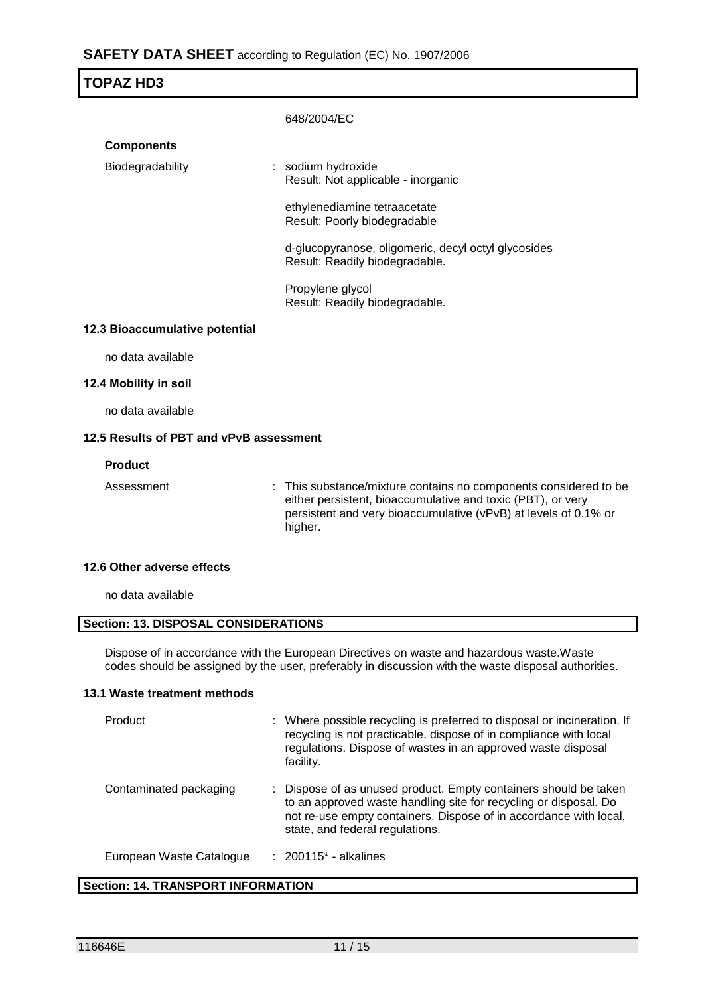## **SAFETY DATA SHEET** according to Regulation (EC) No. 1907/2006

| TOPAZ HD3                      |                                                                                       |  |  |  |
|--------------------------------|---------------------------------------------------------------------------------------|--|--|--|
|                                | 648/2004/EC                                                                           |  |  |  |
| <b>Components</b>              |                                                                                       |  |  |  |
| Biodegradability               | : sodium hydroxide<br>Result: Not applicable - inorganic                              |  |  |  |
|                                | ethylenediamine tetraacetate<br>Result: Poorly biodegradable                          |  |  |  |
|                                | d-glucopyranose, oligomeric, decyl octyl glycosides<br>Result: Readily biodegradable. |  |  |  |
|                                | Propylene glycol<br>Result: Readily biodegradable.                                    |  |  |  |
| 12.3 Bioaccumulative potential |                                                                                       |  |  |  |
|                                |                                                                                       |  |  |  |

no data available

#### **12.4 Mobility in soil**

no data available

#### **12.5 Results of PBT and vPvB assessment**

#### **Product**

Assessment : This substance/mixture contains no components considered to be either persistent, bioaccumulative and toxic (PBT), or very persistent and very bioaccumulative (vPvB) at levels of 0.1% or higher.

#### **12.6 Other adverse effects**

no data available

## **Section: 13. DISPOSAL CONSIDERATIONS**

Dispose of in accordance with the European Directives on waste and hazardous waste.Waste codes should be assigned by the user, preferably in discussion with the waste disposal authorities.

#### **13.1 Waste treatment methods**

| Product                  | : Where possible recycling is preferred to disposal or incineration. If<br>recycling is not practicable, dispose of in compliance with local<br>regulations. Dispose of wastes in an approved waste disposal<br>facility.                    |
|--------------------------|----------------------------------------------------------------------------------------------------------------------------------------------------------------------------------------------------------------------------------------------|
| Contaminated packaging   | : Dispose of as unused product. Empty containers should be taken<br>to an approved waste handling site for recycling or disposal. Do<br>not re-use empty containers. Dispose of in accordance with local,<br>state, and federal regulations. |
| European Waste Catalogue | $: 200115$ * - alkalines                                                                                                                                                                                                                     |

#### **Section: 14. TRANSPORT INFORMATION**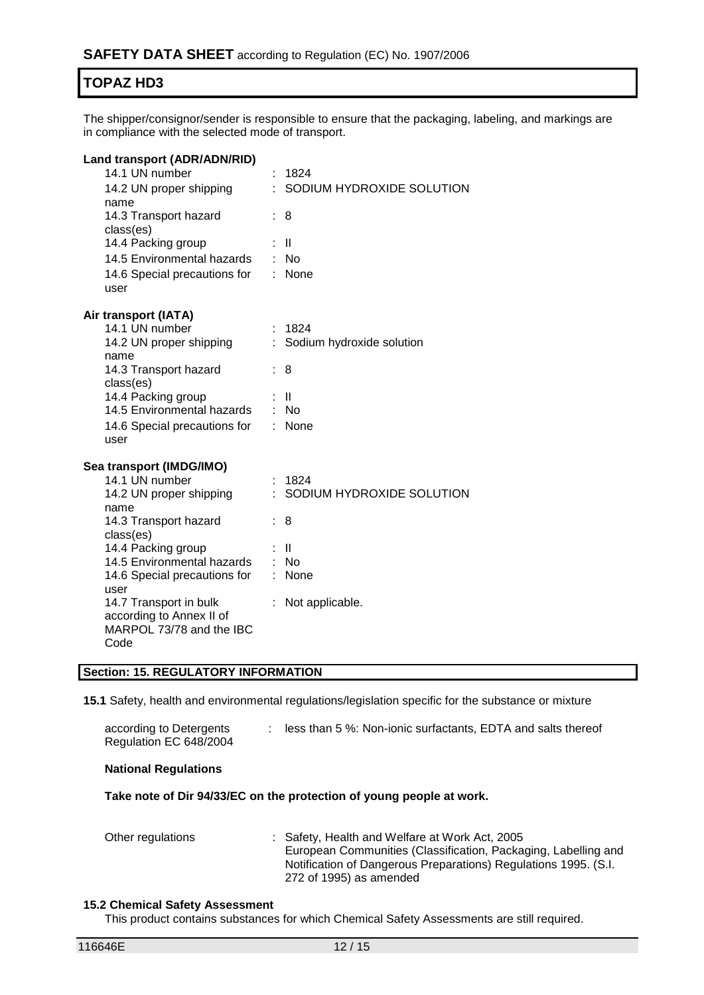The shipper/consignor/sender is responsible to ensure that the packaging, labeling, and markings are in compliance with the selected mode of transport.

| Land transport (ADR/ADN/RID)<br>14.1 UN number<br>14.2 UN proper shipping<br>name<br>14.3 Transport hazard<br>class(es)<br>14.4 Packing group<br>14.5 Environmental hazards<br>14.6 Special precautions for<br>user                                                                                       |          | 1824<br>SODIUM HYDROXIDE SOLUTION<br>8<br>$\mathbf{  }$<br>: No<br>None             |
|-----------------------------------------------------------------------------------------------------------------------------------------------------------------------------------------------------------------------------------------------------------------------------------------------------------|----------|-------------------------------------------------------------------------------------|
| Air transport (IATA)<br>14.1 UN number<br>14.2 UN proper shipping<br>name<br>14.3 Transport hazard<br>class(es)<br>14.4 Packing group<br>14.5 Environmental hazards<br>14.6 Special precautions for<br>user                                                                                               | ÷.<br>÷. | 1824<br>Sodium hydroxide solution<br>8<br>- 11<br>: No<br>None                      |
| Sea transport (IMDG/IMO)<br>14.1 UN number<br>14.2 UN proper shipping<br>name<br>14.3 Transport hazard<br>class(es)<br>14.4 Packing group<br>14.5 Environmental hazards<br>14.6 Special precautions for<br>user<br>14.7 Transport in bulk<br>according to Annex II of<br>MARPOL 73/78 and the IBC<br>Code | t.<br>t. | 1824<br>SODIUM HYDROXIDE SOLUTION<br>8<br>: II<br>$:$ No<br>None<br>Not applicable. |

#### **Section: 15. REGULATORY INFORMATION**

**15.1** Safety, health and environmental regulations/legislation specific for the substance or mixture

| according to Detergents | less than 5 %: Non-ionic surfactants, EDTA and salts thereof |
|-------------------------|--------------------------------------------------------------|
| Regulation EC 648/2004  |                                                              |

#### **National Regulations**

**Take note of Dir 94/33/EC on the protection of young people at work.**

| Other regulations | : Safety, Health and Welfare at Work Act, 2005                  |
|-------------------|-----------------------------------------------------------------|
|                   | European Communities (Classification, Packaging, Labelling and  |
|                   | Notification of Dangerous Preparations) Regulations 1995. (S.I. |
|                   | 272 of 1995) as amended                                         |

#### **15.2 Chemical Safety Assessment**

This product contains substances for which Chemical Safety Assessments are still required.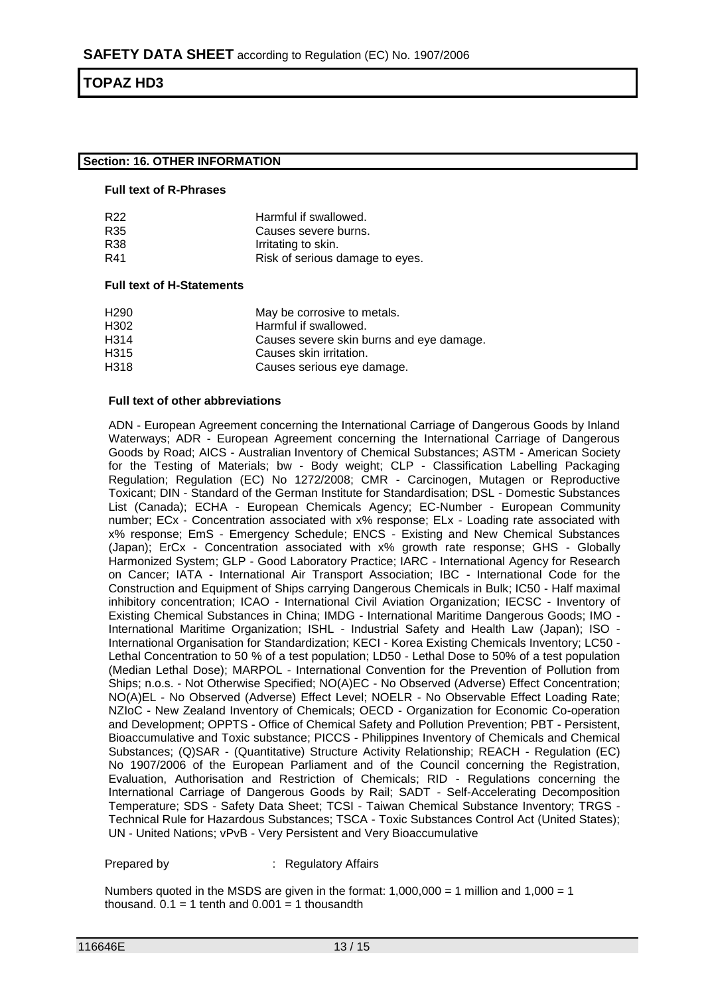#### **Section: 16. OTHER INFORMATION**

#### **Full text of R-Phrases**

| Harmful if swallowed.           |
|---------------------------------|
| Causes severe burns.            |
| Irritating to skin.             |
| Risk of serious damage to eyes. |
|                                 |

#### **Full text of H-Statements**

| H <sub>290</sub> | May be corrosive to metals.              |
|------------------|------------------------------------------|
| H302             | Harmful if swallowed.                    |
| H314             | Causes severe skin burns and eye damage. |
| H315             | Causes skin irritation.                  |
| H318             | Causes serious eye damage.               |
|                  |                                          |

#### **Full text of other abbreviations**

ADN - European Agreement concerning the International Carriage of Dangerous Goods by Inland Waterways; ADR - European Agreement concerning the International Carriage of Dangerous Goods by Road; AICS - Australian Inventory of Chemical Substances; ASTM - American Society for the Testing of Materials; bw - Body weight; CLP - Classification Labelling Packaging Regulation; Regulation (EC) No 1272/2008; CMR - Carcinogen, Mutagen or Reproductive Toxicant; DIN - Standard of the German Institute for Standardisation; DSL - Domestic Substances List (Canada); ECHA - European Chemicals Agency; EC-Number - European Community number; ECx - Concentration associated with x% response; ELx - Loading rate associated with x% response; EmS - Emergency Schedule; ENCS - Existing and New Chemical Substances (Japan); ErCx - Concentration associated with x% growth rate response; GHS - Globally Harmonized System; GLP - Good Laboratory Practice; IARC - International Agency for Research on Cancer; IATA - International Air Transport Association; IBC - International Code for the Construction and Equipment of Ships carrying Dangerous Chemicals in Bulk; IC50 - Half maximal inhibitory concentration; ICAO - International Civil Aviation Organization; IECSC - Inventory of Existing Chemical Substances in China; IMDG - International Maritime Dangerous Goods; IMO - International Maritime Organization; ISHL - Industrial Safety and Health Law (Japan); ISO - International Organisation for Standardization; KECI - Korea Existing Chemicals Inventory; LC50 - Lethal Concentration to 50 % of a test population; LD50 - Lethal Dose to 50% of a test population (Median Lethal Dose); MARPOL - International Convention for the Prevention of Pollution from Ships; n.o.s. - Not Otherwise Specified; NO(A)EC - No Observed (Adverse) Effect Concentration; NO(A)EL - No Observed (Adverse) Effect Level; NOELR - No Observable Effect Loading Rate; NZIoC - New Zealand Inventory of Chemicals; OECD - Organization for Economic Co-operation and Development; OPPTS - Office of Chemical Safety and Pollution Prevention; PBT - Persistent, Bioaccumulative and Toxic substance; PICCS - Philippines Inventory of Chemicals and Chemical Substances; (Q)SAR - (Quantitative) Structure Activity Relationship; REACH - Regulation (EC) No 1907/2006 of the European Parliament and of the Council concerning the Registration, Evaluation, Authorisation and Restriction of Chemicals; RID - Regulations concerning the International Carriage of Dangerous Goods by Rail; SADT - Self-Accelerating Decomposition Temperature; SDS - Safety Data Sheet; TCSI - Taiwan Chemical Substance Inventory; TRGS - Technical Rule for Hazardous Substances; TSCA - Toxic Substances Control Act (United States); UN - United Nations; vPvB - Very Persistent and Very Bioaccumulative

Prepared by **Exercise 2** : Regulatory Affairs

Numbers quoted in the MSDS are given in the format:  $1,000,000 = 1$  million and  $1,000 = 1$ thousand.  $0.1 = 1$  tenth and  $0.001 = 1$  thousandth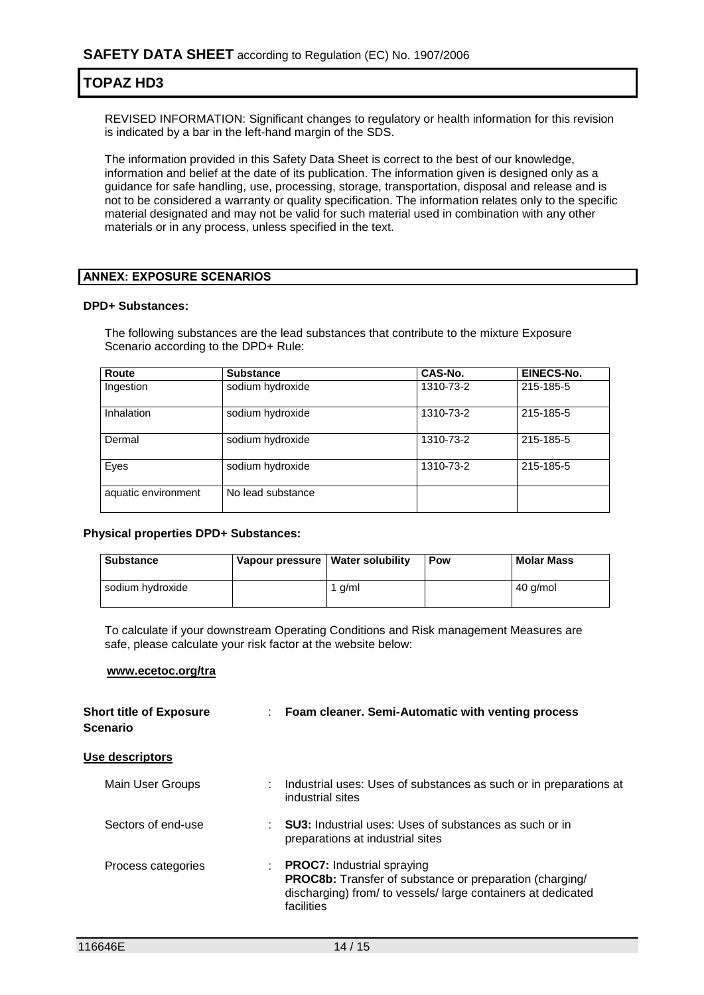REVISED INFORMATION: Significant changes to regulatory or health information for this revision is indicated by a bar in the left-hand margin of the SDS.

The information provided in this Safety Data Sheet is correct to the best of our knowledge, information and belief at the date of its publication. The information given is designed only as a guidance for safe handling, use, processing, storage, transportation, disposal and release and is not to be considered a warranty or quality specification. The information relates only to the specific material designated and may not be valid for such material used in combination with any other materials or in any process, unless specified in the text.

#### **ANNEX: EXPOSURE SCENARIOS**

#### **DPD+ Substances:**

The following substances are the lead substances that contribute to the mixture Exposure Scenario according to the DPD+ Rule:

| <b>Route</b>        | <b>Substance</b>  | CAS-No.   | EINECS-No. |
|---------------------|-------------------|-----------|------------|
| Ingestion           | sodium hydroxide  | 1310-73-2 | 215-185-5  |
| Inhalation          | sodium hydroxide  | 1310-73-2 | 215-185-5  |
| Dermal              | sodium hydroxide  | 1310-73-2 | 215-185-5  |
| Eyes                | sodium hydroxide  | 1310-73-2 | 215-185-5  |
| aquatic environment | No lead substance |           |            |

#### **Physical properties DPD+ Substances:**

| <b>Substance</b> | Vapour pressure   Water solubility |          | Pow | <b>Molar Mass</b> |
|------------------|------------------------------------|----------|-----|-------------------|
| sodium hydroxide |                                    | 1 $a/ml$ |     | 40 g/mol          |

To calculate if your downstream Operating Conditions and Risk management Measures are safe, please calculate your risk factor at the website below:

#### **www.ecetoc.org/tra**

| <b>Short title of Exposure</b><br><b>Scenario</b> | : Foam cleaner. Semi-Automatic with venting process                                                                                                                               |  |
|---------------------------------------------------|-----------------------------------------------------------------------------------------------------------------------------------------------------------------------------------|--|
| Use descriptors                                   |                                                                                                                                                                                   |  |
| Main User Groups                                  | Industrial uses: Uses of substances as such or in preparations at<br>industrial sites                                                                                             |  |
| Sectors of end-use                                | : <b>SU3:</b> Industrial uses: Uses of substances as such or in<br>preparations at industrial sites                                                                               |  |
| Process categories                                | <b>PROC7:</b> Industrial spraying<br><b>PROC8b:</b> Transfer of substance or preparation (charging/<br>discharging) from/ to vessels/ large containers at dedicated<br>facilities |  |